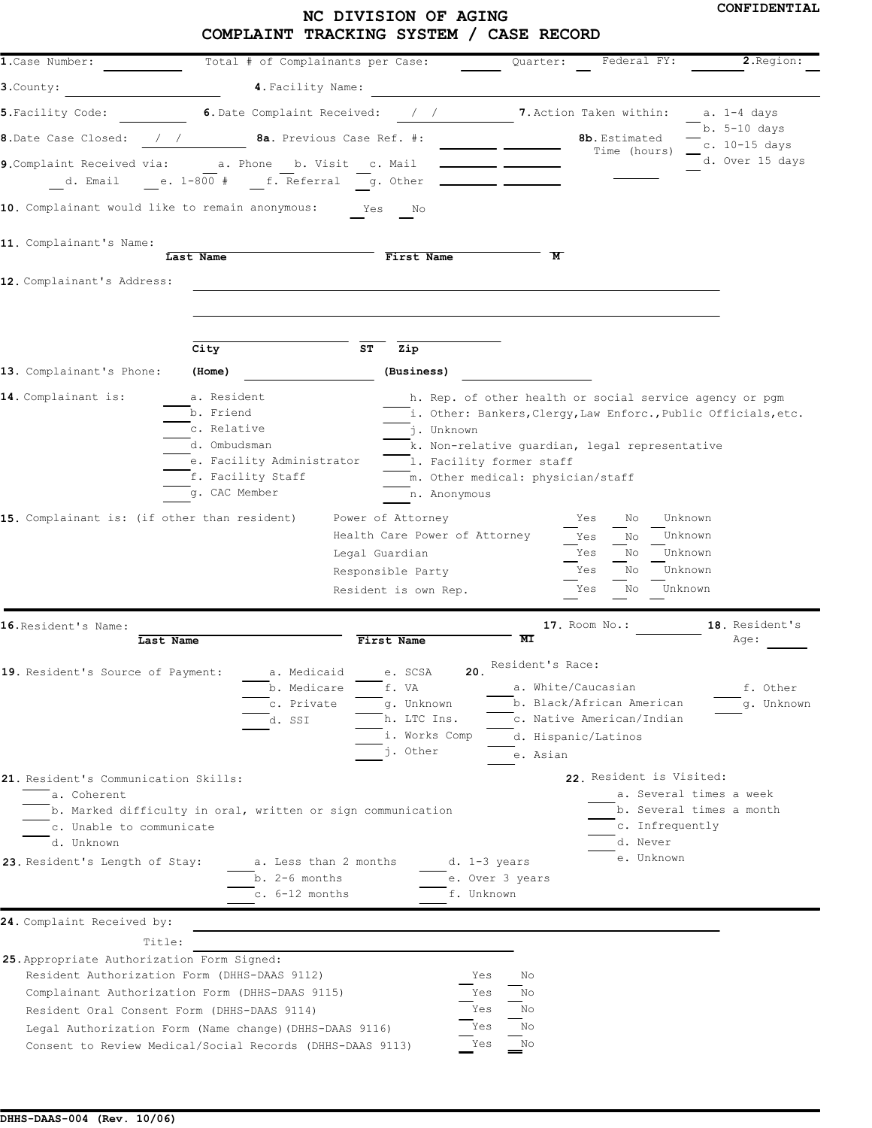# **CONFIDENTIAL NC DIVISION OF AGING COMPLAINT TRACKING SYSTEM / CASE RECORD**

| 1. Case Number:                                                                                                                                                    |                                           | Total # of Complainants per Case:                           | Quarter:                                                                   | Federal FY:                                         | 2. Region:                    |
|--------------------------------------------------------------------------------------------------------------------------------------------------------------------|-------------------------------------------|-------------------------------------------------------------|----------------------------------------------------------------------------|-----------------------------------------------------|-------------------------------|
| 3.County:                                                                                                                                                          | 4. Facility Name:                         |                                                             |                                                                            |                                                     |                               |
| 5. Facility Code:                                                                                                                                                  | 6. Date Complaint Received:               |                                                             |                                                                            | 7. Action Taken within:                             | a. 1-4 days                   |
| 8. Date Case Closed:<br>$\sqrt{2}$                                                                                                                                 |                                           | 8a. Previous Case Ref. #:                                   |                                                                            | 8b. Estimated                                       | b. 5-10 days<br>c. 10-15 days |
| 9. Complaint Received via: a. Phone b. Visit c. Mail                                                                                                               |                                           |                                                             |                                                                            | Time (hours)                                        | d. Over 15 days               |
|                                                                                                                                                                    | d. Email e. 1-800 # f. Referral g. Other  |                                                             |                                                                            |                                                     |                               |
| 10. Complainant would like to remain anonymous: Yes                                                                                                                |                                           | No                                                          |                                                                            |                                                     |                               |
|                                                                                                                                                                    |                                           |                                                             |                                                                            |                                                     |                               |
| 11. Complainant's Name:                                                                                                                                            | Last Name                                 | First Name                                                  | $\overline{\mathbf{M}}$                                                    |                                                     |                               |
| 12. Complainant's Address:                                                                                                                                         |                                           |                                                             |                                                                            |                                                     |                               |
|                                                                                                                                                                    |                                           |                                                             |                                                                            |                                                     |                               |
|                                                                                                                                                                    |                                           |                                                             |                                                                            |                                                     |                               |
|                                                                                                                                                                    | City                                      | ST<br>Zip                                                   |                                                                            |                                                     |                               |
| 13. Complainant's Phone:                                                                                                                                           | (Home)                                    | (Business)                                                  |                                                                            |                                                     |                               |
| 14. Complainant is:                                                                                                                                                | a. Resident                               |                                                             | h. Rep. of other health or social service agency or pgm                    |                                                     |                               |
|                                                                                                                                                                    | b. Friend                                 |                                                             | i. Other: Bankers, Clergy, Law Enforc., Public Officials, etc.             |                                                     |                               |
|                                                                                                                                                                    | c. Relative                               | j. Unknown                                                  |                                                                            |                                                     |                               |
|                                                                                                                                                                    | d. Ombudsman<br>e. Facility Administrator |                                                             | k. Non-relative quardian, legal representative<br>1. Facility former staff |                                                     |                               |
|                                                                                                                                                                    | f. Facility Staff                         |                                                             | m. Other medical: physician/staff                                          |                                                     |                               |
|                                                                                                                                                                    | g. CAC Member                             | n. Anonymous                                                |                                                                            |                                                     |                               |
| 15. Complainant is: (if other than resident)                                                                                                                       |                                           | Power of Attorney                                           | Yes                                                                        | Unknown<br>No                                       |                               |
|                                                                                                                                                                    |                                           | Health Care Power of Attorney                               | Yes                                                                        | Unknown<br>No                                       |                               |
|                                                                                                                                                                    |                                           | Legal Guardian                                              | Yes                                                                        | Unknown<br>No                                       |                               |
|                                                                                                                                                                    |                                           | Responsible Party                                           | Yes                                                                        | Unknown<br>No                                       |                               |
|                                                                                                                                                                    |                                           | Resident is own Rep.                                        | Yes                                                                        | Unknown<br>No                                       |                               |
| 16. Resident's Name:                                                                                                                                               |                                           |                                                             | 17. Room No.:                                                              |                                                     | 18. Resident's                |
| Last Name                                                                                                                                                          |                                           | First Name                                                  | МI                                                                         |                                                     | Age:                          |
| 19. Resident's Source of Payment:                                                                                                                                  | a. Medicaid                               | e. SCSA                                                     | Resident's Race:<br>20.                                                    |                                                     |                               |
|                                                                                                                                                                    | b. Medicare                               | I. VA                                                       | a. white/caucasian                                                         |                                                     | f. Other                      |
|                                                                                                                                                                    | c. Private                                | q. Unknown                                                  |                                                                            | b. Black/African American                           | q. Unknown                    |
|                                                                                                                                                                    | d. SSI                                    | h. LTC Ins.                                                 |                                                                            | c. Native American/Indian                           |                               |
|                                                                                                                                                                    |                                           |                                                             |                                                                            |                                                     |                               |
|                                                                                                                                                                    |                                           | i. Works Comp                                               | d. Hispanic/Latinos                                                        |                                                     |                               |
|                                                                                                                                                                    |                                           | j. Other                                                    | e. Asian                                                                   |                                                     |                               |
|                                                                                                                                                                    |                                           |                                                             |                                                                            | 22. Resident is Visited:                            |                               |
| 21. Resident's Communication Skills:<br>a. Coherent                                                                                                                |                                           |                                                             |                                                                            | a. Several times a week<br>b. Several times a month |                               |
| c. Unable to communicate                                                                                                                                           |                                           | b. Marked difficulty in oral, written or sign communication |                                                                            | c. Infrequently                                     |                               |
| d. Unknown                                                                                                                                                         |                                           |                                                             |                                                                            | d. Never                                            |                               |
| 23. Resident's Length of Stay:                                                                                                                                     |                                           | a. Less than 2 months                                       | d. 1-3 years                                                               | e. Unknown                                          |                               |
|                                                                                                                                                                    | $b. 2-6$ months                           |                                                             | e. Over 3 years                                                            |                                                     |                               |
|                                                                                                                                                                    | c. 6-12 months                            |                                                             | f. Unknown                                                                 |                                                     |                               |
|                                                                                                                                                                    |                                           |                                                             |                                                                            |                                                     |                               |
| 24. Complaint Received by:<br>Title:                                                                                                                               |                                           |                                                             |                                                                            |                                                     |                               |
| Resident Authorization Form (DHHS-DAAS 9112)                                                                                                                       |                                           |                                                             | Yes<br>No                                                                  |                                                     |                               |
| Complainant Authorization Form (DHHS-DAAS 9115)                                                                                                                    |                                           |                                                             | No<br>Yes                                                                  |                                                     |                               |
| Resident Oral Consent Form (DHHS-DAAS 9114)                                                                                                                        |                                           |                                                             | No<br>Yes                                                                  |                                                     |                               |
| 25. Appropriate Authorization Form Signed:<br>Legal Authorization Form (Name change) (DHHS-DAAS 9116)<br>Consent to Review Medical/Social Records (DHHS-DAAS 9113) |                                           |                                                             | Yes<br>No<br>No<br>Yes                                                     |                                                     |                               |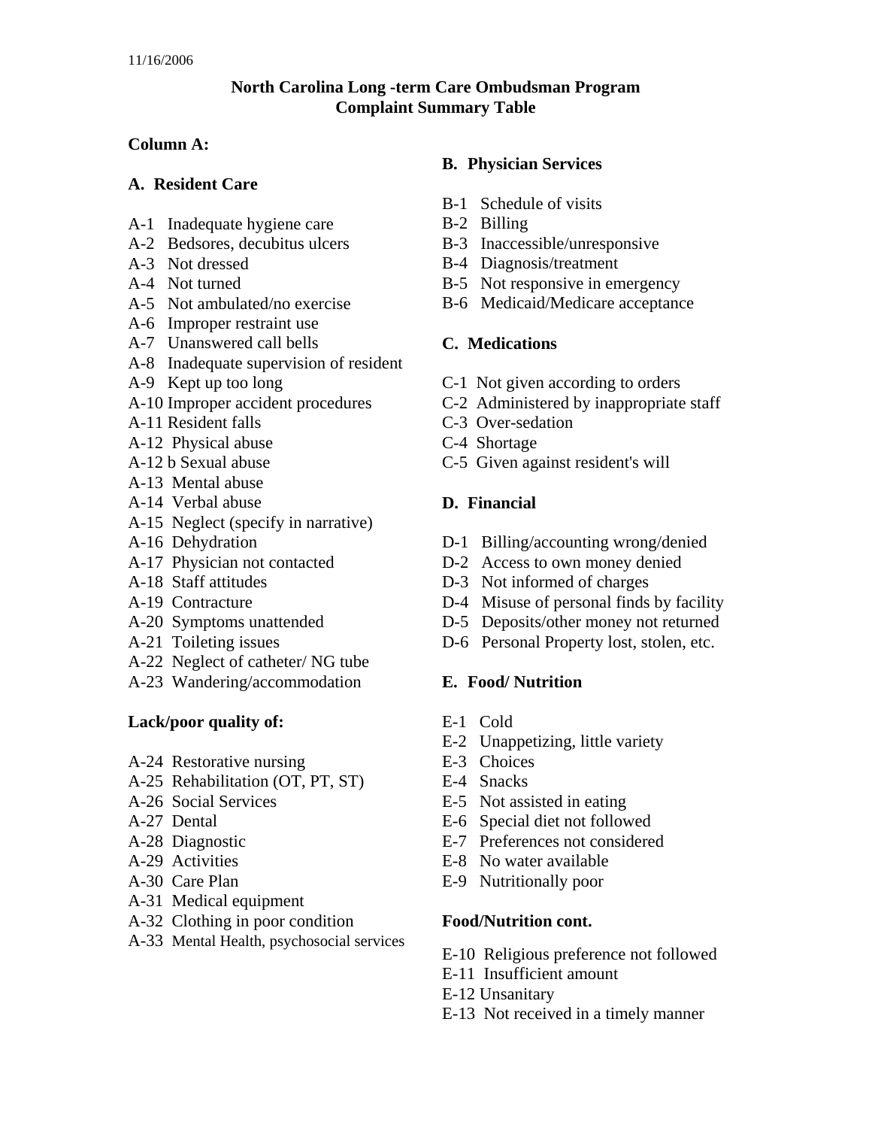## **North Carolina Long -term Care Ombudsman Program Complaint Summary Table**

#### **Column A:**

#### **A. Resident Care**

- A-1 Inadequate hygiene care
- A-2 Bedsores, decubitus ulcers
- A-3 Not dressed
- A-4 Not turned
- A-5 Not ambulated/no exercise
- A-6 Improper restraint use
- A-7 Unanswered call bells
- A-8 Inadequate supervision of resident
- A-9 Kept up too long
- A-10 Improper accident procedures
- A-11 Resident falls
- A-12 Physical abuse
- A-12 b Sexual abuse
- A-13 Mental abuse
- A-14 Verbal abuse
- A-15 Neglect (specify in narrative)
- A-16 Dehydration
- A-17 Physician not contacted
- A-18 Staff attitudes
- A-19 Contracture
- A-20 Symptoms unattended
- A-21 Toileting issues
- A-22 Neglect of catheter/ NG tube
- A-23 Wandering/accommodation

#### **Lack/poor quality of:**

- A-24 Restorative nursing
- A-25 Rehabilitation (OT, PT, ST)
- A-26 Social Services
- A-27 Dental
- A-28 Diagnostic
- A-29 Activities
- A-30 Care Plan
- A-31 Medical equipment
- A-32 Clothing in poor condition
- A-33 Mental Health, psychosocial services

### **B. Physician Services**

- B-1 Schedule of visits
- B-2 Billing
- B-3 Inaccessible/unresponsive
- B-4 Diagnosis/treatment
- B-5 Not responsive in emergency
- B-6 Medicaid/Medicare acceptance

## **C. Medications**

- C-1 Not given according to orders
- C-2 Administered by inappropriate staff
- C-3 Over-sedation
- C-4 Shortage
- C-5 Given against resident's will

## **D. Financial**

- D-1 Billing/accounting wrong/denied
- D-2 Access to own money denied
- D-3 Not informed of charges
- D-4 Misuse of personal finds by facility
- D-5 Deposits/other money not returned
- D-6 Personal Property lost, stolen, etc.

#### **E. Food/ Nutrition**

- E-1 Cold
- E-2 Unappetizing, little variety
- E-3 Choices
- E-4 Snacks
- E-5 Not assisted in eating
- E-6 Special diet not followed
- E-7 Preferences not considered
- E-8 No water available
- E-9 Nutritionally poor

#### **Food/Nutrition cont.**

- E-10 Religious preference not followed
- E-11 Insufficient amount
- E-12 Unsanitary
- E-13 Not received in a timely manner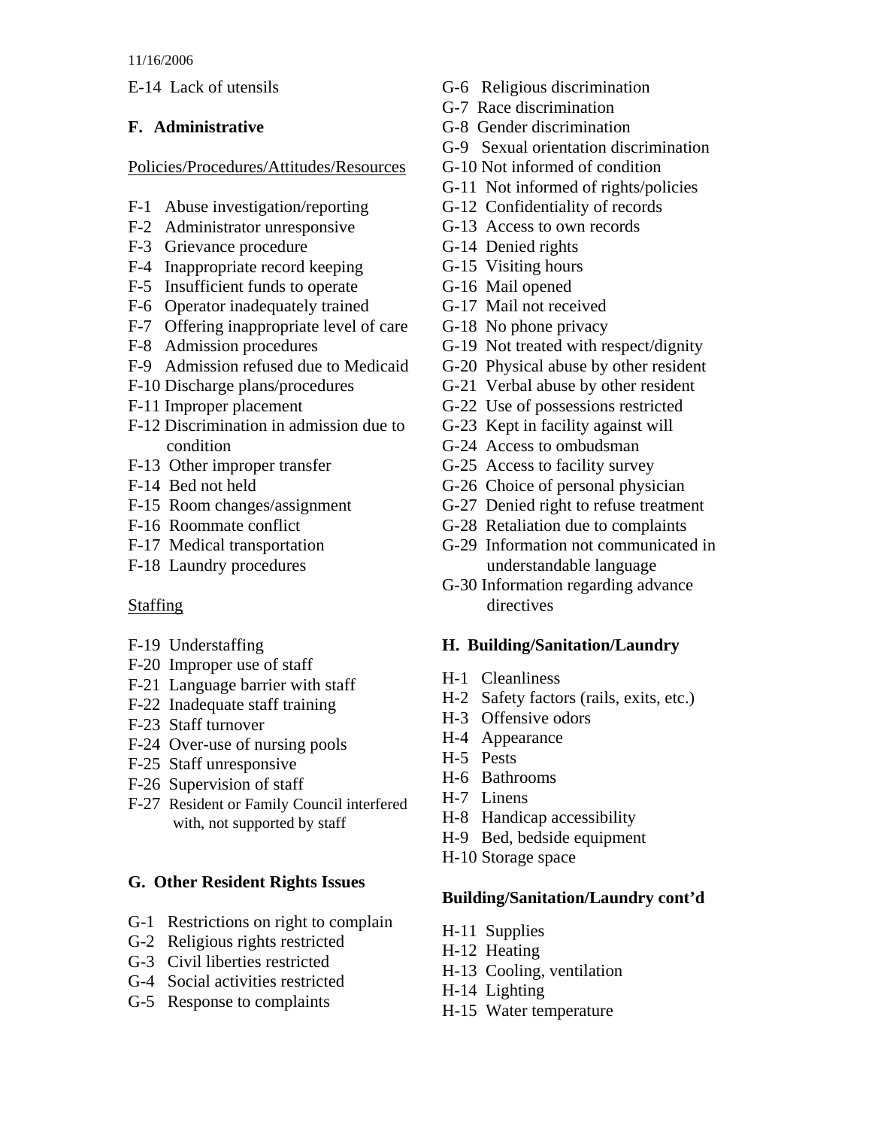E-14 Lack of utensils

# **F. Administrative**

Policies/Procedures/Attitudes/Resources

- F-1 Abuse investigation/reporting
- F-2 Administrator unresponsive
- F-3 Grievance procedure
- F-4 Inappropriate record keeping
- F-5 Insufficient funds to operate
- F-6 Operator inadequately trained
- F-7 Offering inappropriate level of care
- F-8 Admission procedures
- F-9 Admission refused due to Medicaid
- F-10 Discharge plans/procedures
- F-11 Improper placement
- F-12 Discrimination in admission due to condition
- F-13 Other improper transfer
- F-14 Bed not held
- F-15 Room changes/assignment
- F-16 Roommate conflict
- F-17 Medical transportation
- F-18 Laundry procedures

# **Staffing**

- F-19 Understaffing
- F-20 Improper use of staff
- F-21 Language barrier with staff
- F-22 Inadequate staff training
- F-23 Staff turnover
- F-24 Over-use of nursing pools
- F-25 Staff unresponsive
- F-26 Supervision of staff
- F-27 Resident or Family Council interfered with, not supported by staff

# **G. Other Resident Rights Issues**

- G-1 Restrictions on right to complain
- G-2 Religious rights restricted
- G-3 Civil liberties restricted
- G-4 Social activities restricted
- G-5 Response to complaints
- G-6 Religious discrimination
- G-7 Race discrimination
- G-8 Gender discrimination
- G-9 Sexual orientation discrimination
- G-10 Not informed of condition
- G-11 Not informed of rights/policies
- G-12 Confidentiality of records
- G-13 Access to own records
- G-14 Denied rights
- G-15 Visiting hours
- G-16 Mail opened
- G-17 Mail not received
- G-18 No phone privacy
- G-19 Not treated with respect/dignity
- G-20 Physical abuse by other resident
- G-21 Verbal abuse by other resident
- G-22 Use of possessions restricted
- G-23 Kept in facility against will
- G-24 Access to ombudsman
- G-25 Access to facility survey
- G-26 Choice of personal physician
- G-27 Denied right to refuse treatment
- G-28 Retaliation due to complaints
- G-29 Information not communicated in understandable language
- G-30 Information regarding advance directives

# **H. Building/Sanitation/Laundry**

- H-1 Cleanliness
- H-2 Safety factors (rails, exits, etc.)
- H-3 Offensive odors
- H-4 Appearance
- H-5 Pests
- H-6 Bathrooms
- H-7 Linens
- H-8 Handicap accessibility
- H-9 Bed, bedside equipment
- H-10 Storage space

#### **Building/Sanitation/Laundry cont'd**

- H-11 Supplies
- H-12 Heating
- H-13 Cooling, ventilation
- H-14 Lighting
- H-15 Water temperature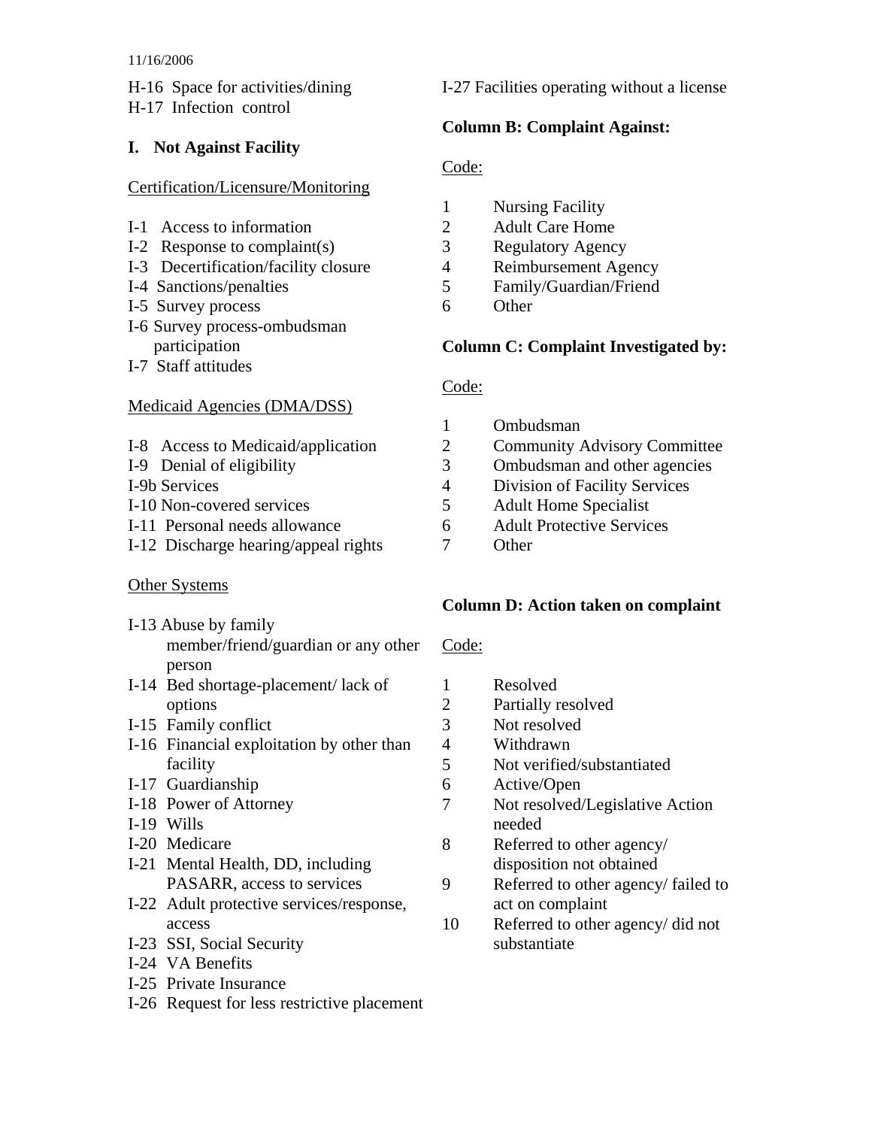#### 11/16/2006

H-16 Space for activities/dining H-17 Infection control

#### **I. Not Against Facility**

#### Certification/Licensure/Monitoring

- I-1 Access to information
- I-2 Response to complaint(s)
- I-3 Decertification/facility closure
- I-4 Sanctions/penalties
- I-5 Survey process
- I-6 Survey process-ombudsman participation
- I-7 Staff attitudes

#### Medicaid Agencies (DMA/DSS)

- I-8 Access to Medicaid/application
- I-9 Denial of eligibility
- I-9b Services
- I-10 Non-covered services
- I-11 Personal needs allowance
- I-12 Discharge hearing/appeal rights

#### Other Systems

- I-13 Abuse by family member/friend/guardian or any other person
- I-14 Bed shortage-placement/ lack of options
- I-15 Family conflict
- I-16 Financial exploitation by other than facility
- I-17 Guardianship
- I-18 Power of Attorney
- I-19 Wills
- I-20 Medicare
- I-21 Mental Health, DD, including PASARR, access to services
- I-22 Adult protective services/response, access
- I-23 SSI, Social Security
- I-24 VA Benefits
- I-25 Private Insurance
- I-26 Request for less restrictive placement

I-27 Facilities operating without a license

#### **Column B: Complaint Against:**

### Code:

- 1 Nursing Facility
- 2 Adult Care Home
- 3 Regulatory Agency
- 4 Reimbursement Agency
- 5 Family/Guardian/Friend
- 6 Other

#### **Column C: Complaint Investigated by:**

#### Code:

- 1 Ombudsman
- 2 Community Advisory Committee
- 3 Ombudsman and other agencies
- 4 Division of Facility Services
- 5 Adult Home Specialist
- 6 Adult Protective Services
- 7 Other

#### **Column D: Action taken on complaint**

#### Code:

- 1 Resolved
- 2 Partially resolved
- 3 Not resolved
- 4 Withdrawn
- 5 Not verified/substantiated
- 6 Active/Open
- 7 Not resolved/Legislative Action needed
- 8 Referred to other agency/ disposition not obtained
- 9 Referred to other agency/ failed to act on complaint
- 10 Referred to other agency/ did not substantiate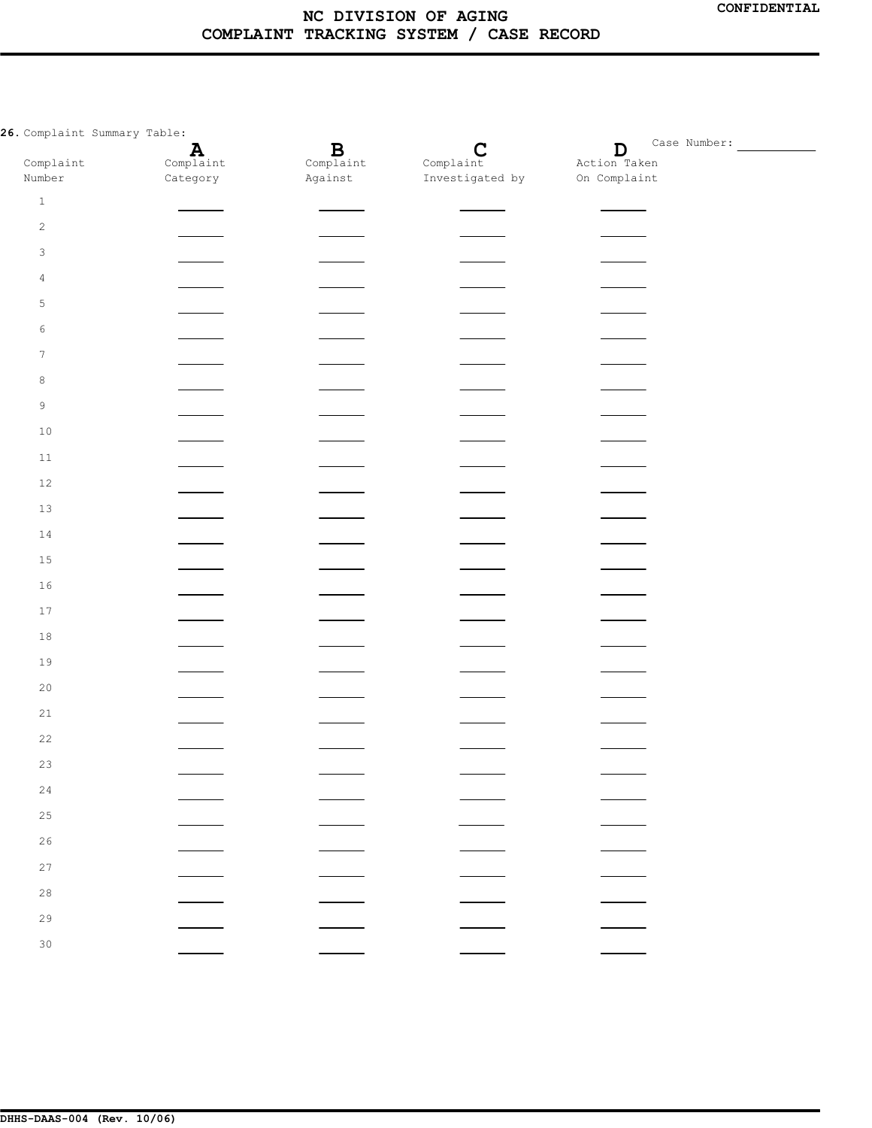**26.** Complaint Summary Table:

| Complaint Summary Table: |                          |                          |                          |                             |  |  |
|--------------------------|--------------------------|--------------------------|--------------------------|-----------------------------|--|--|
| Complaint                | $\mathbf{A}$ Complaint   | $B$ Complaint            | $\mathbf C$<br>Complaint | $\mathbf D$<br>Action Taken |  |  |
| Number                   | Category                 | Against                  | Investigated by          | On Complaint                |  |  |
| $\,1\,$                  |                          |                          |                          |                             |  |  |
| $\sqrt{2}$               |                          |                          |                          |                             |  |  |
| $\mathsf 3$              |                          |                          |                          |                             |  |  |
| $\overline{4}$           | $\frac{1}{2}$            |                          | $\overline{\phantom{0}}$ |                             |  |  |
| $\mathsf S$              |                          |                          |                          |                             |  |  |
| 6                        | $\frac{1}{2}$            |                          |                          |                             |  |  |
| $\tau$                   |                          |                          |                          |                             |  |  |
| $\,8\,$                  | $\sim$                   |                          |                          |                             |  |  |
| $\mathsf 9$              |                          |                          |                          |                             |  |  |
| $10$                     | $\frac{1}{2}$            |                          | $\overline{\phantom{a}}$ |                             |  |  |
| $11\,$                   |                          |                          |                          |                             |  |  |
| $1\,2$                   | $\sim$ $-$               | $\frac{1}{1}$            | $\frac{1}{1}$            |                             |  |  |
| 13                       |                          |                          |                          |                             |  |  |
| $1\,4$                   | $\sim$                   |                          |                          |                             |  |  |
| 15                       |                          |                          |                          |                             |  |  |
| $1\,6$                   | $\overline{\phantom{a}}$ | $\overline{\phantom{0}}$ |                          |                             |  |  |
| $17\,$                   |                          |                          |                          |                             |  |  |
| $1\,8$                   | $\overline{\phantom{a}}$ |                          |                          |                             |  |  |
| 19                       |                          |                          |                          |                             |  |  |
| $20$                     |                          |                          |                          |                             |  |  |
| $2\,1$                   |                          |                          |                          |                             |  |  |
| 22                       |                          |                          |                          |                             |  |  |
| 23                       |                          |                          |                          |                             |  |  |
| $2\,4$                   |                          |                          |                          |                             |  |  |
| $2\,5$                   |                          |                          |                          |                             |  |  |
| $2\sqrt{6}$              |                          |                          |                          |                             |  |  |
| 27                       |                          |                          |                          |                             |  |  |
| $2\,8$                   |                          |                          |                          |                             |  |  |
| 29                       |                          |                          |                          |                             |  |  |
| 30                       |                          |                          |                          |                             |  |  |
|                          |                          |                          |                          |                             |  |  |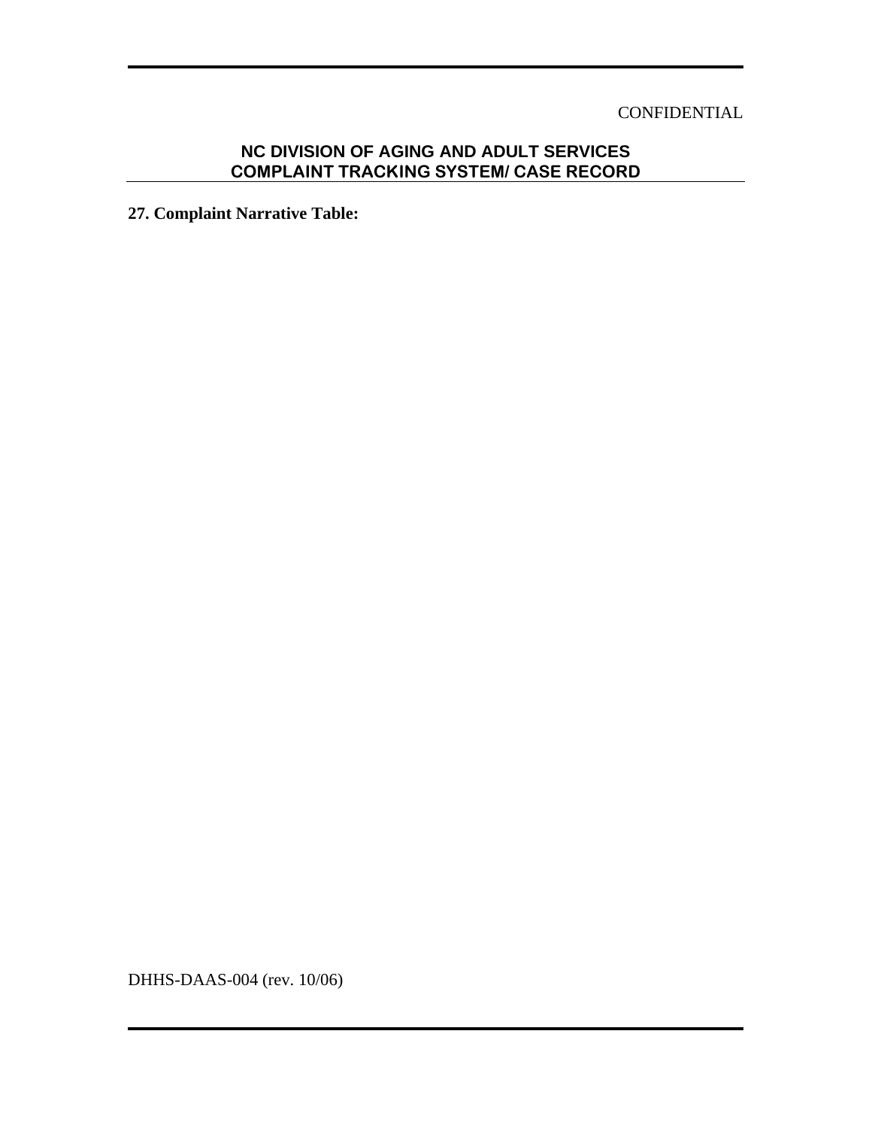## CONFIDENTIAL

# **NC DIVISION OF AGING AND ADULT SERVICES COMPLAINT TRACKING SYSTEM/ CASE RECORD**

**27. Complaint Narrative Table:** 

DHHS-DAAS-004 (rev. 10/06)